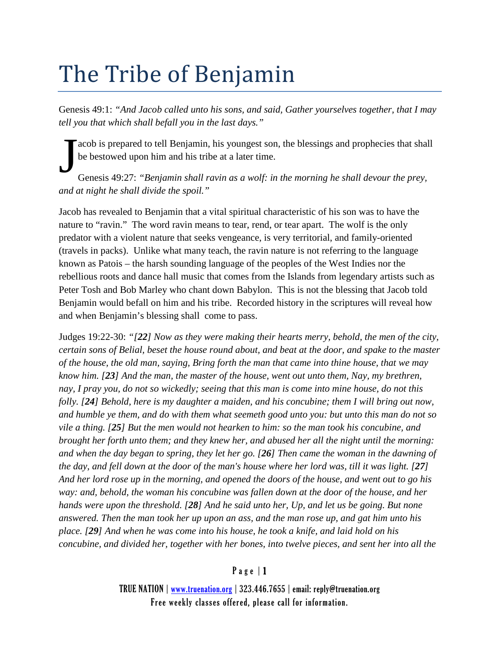# The Tribe of Benjamin

Genesis 49:1: *"And Jacob called unto his sons, and said, Gather yourselves together, that I may tell you that which shall befall you in the last days."*

acob is prepared to tell Benjamin, his youngest son, the blessings and prophecies that shall be bestowed upon him and his tribe at a later time.

Genesis 49:27: *"Benjamin shall ravin as a wolf: in the morning he shall devour the prey, and at night he shall divide the spoil."* J

Jacob has revealed to Benjamin that a vital spiritual characteristic of his son was to have the nature to "ravin." The word ravin means to tear, rend, or tear apart. The wolf is the only predator with a violent nature that seeks vengeance, is very territorial, and family-oriented (travels in packs). Unlike what many teach, the ravin nature is not referring to the language known as Patois – the harsh sounding language of the peoples of the West Indies nor the rebellious roots and dance hall music that comes from the Islands from legendary artists such as Peter Tosh and Bob Marley who chant down Babylon. This is not the blessing that Jacob told Benjamin would befall on him and his tribe. Recorded history in the scriptures will reveal how and when Benjamin's blessing shall come to pass.

Judges 19:22-30: *"[22] Now as they were making their hearts merry, behold, the men of the city, certain sons of Belial, beset the house round about, and beat at the door, and spake to the master of the house, the old man, saying, Bring forth the man that came into thine house, that we may know him. [23] And the man, the master of the house, went out unto them, Nay, my brethren, nay, I pray you, do not so wickedly; seeing that this man is come into mine house, do not this folly. [24] Behold, here is my daughter a maiden, and his concubine; them I will bring out now, and humble ye them, and do with them what seemeth good unto you: but unto this man do not so vile a thing. [25] But the men would not hearken to him: so the man took his concubine, and brought her forth unto them; and they knew her, and abused her all the night until the morning: and when the day began to spring, they let her go. [26] Then came the woman in the dawning of the day, and fell down at the door of the man's house where her lord was, till it was light. [27] And her lord rose up in the morning, and opened the doors of the house, and went out to go his way: and, behold, the woman his concubine was fallen down at the door of the house, and her hands were upon the threshold. [28] And he said unto her, Up, and let us be going. But none answered. Then the man took her up upon an ass, and the man rose up, and gat him unto his place. [29] And when he was come into his house, he took a knife, and laid hold on his concubine, and divided her, together with her bones, into twelve pieces, and sent her into all the* 

## Page | 1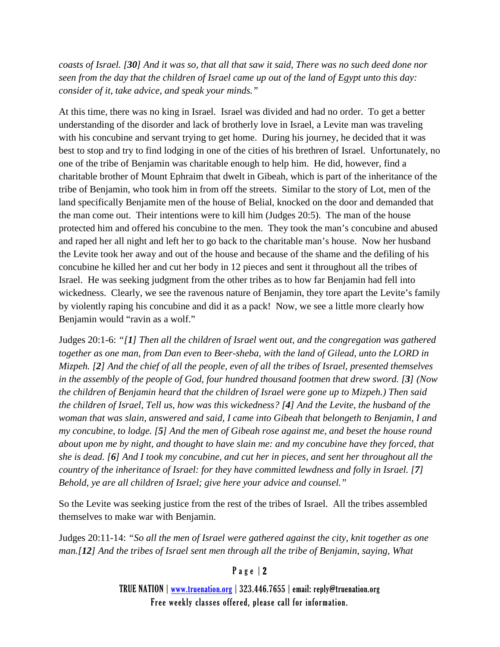*coasts of Israel. [30] And it was so, that all that saw it said, There was no such deed done nor seen from the day that the children of Israel came up out of the land of Egypt unto this day: consider of it, take advice, and speak your minds."*

At this time, there was no king in Israel. Israel was divided and had no order. To get a better understanding of the disorder and lack of brotherly love in Israel, a Levite man was traveling with his concubine and servant trying to get home. During his journey, he decided that it was best to stop and try to find lodging in one of the cities of his brethren of Israel. Unfortunately, no one of the tribe of Benjamin was charitable enough to help him. He did, however, find a charitable brother of Mount Ephraim that dwelt in Gibeah, which is part of the inheritance of the tribe of Benjamin, who took him in from off the streets. Similar to the story of Lot, men of the land specifically Benjamite men of the house of Belial, knocked on the door and demanded that the man come out. Their intentions were to kill him (Judges 20:5). The man of the house protected him and offered his concubine to the men. They took the man's concubine and abused and raped her all night and left her to go back to the charitable man's house. Now her husband the Levite took her away and out of the house and because of the shame and the defiling of his concubine he killed her and cut her body in 12 pieces and sent it throughout all the tribes of Israel. He was seeking judgment from the other tribes as to how far Benjamin had fell into wickedness. Clearly, we see the ravenous nature of Benjamin, they tore apart the Levite's family by violently raping his concubine and did it as a pack! Now, we see a little more clearly how Benjamin would "ravin as a wolf."

Judges 20:1-6: *"[1] Then all the children of Israel went out, and the congregation was gathered together as one man, from Dan even to Beer-sheba, with the land of Gilead, unto the LORD in Mizpeh. [2] And the chief of all the people, even of all the tribes of Israel, presented themselves in the assembly of the people of God, four hundred thousand footmen that drew sword. [3] (Now the children of Benjamin heard that the children of Israel were gone up to Mizpeh.) Then said the children of Israel, Tell us, how was this wickedness? [4] And the Levite, the husband of the woman that was slain, answered and said, I came into Gibeah that belongeth to Benjamin, I and my concubine, to lodge. [5] And the men of Gibeah rose against me, and beset the house round about upon me by night, and thought to have slain me: and my concubine have they forced, that she is dead. [6] And I took my concubine, and cut her in pieces, and sent her throughout all the country of the inheritance of Israel: for they have committed lewdness and folly in Israel. [7] Behold, ye are all children of Israel; give here your advice and counsel."*

So the Levite was seeking justice from the rest of the tribes of Israel. All the tribes assembled themselves to make war with Benjamin.

Judges 20:11-14: *"So all the men of Israel were gathered against the city, knit together as one man.[12] And the tribes of Israel sent men through all the tribe of Benjamin, saying, What* 

## Page | 2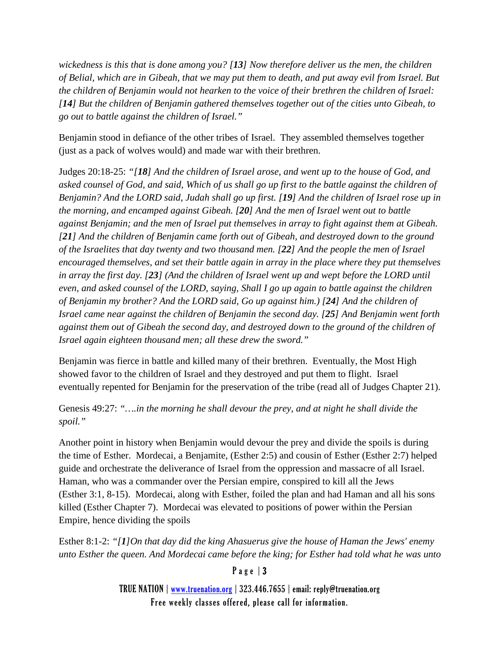*wickedness is this that is done among you? [13] Now therefore deliver us the men, the children of Belial, which are in Gibeah, that we may put them to death, and put away evil from Israel. But the children of Benjamin would not hearken to the voice of their brethren the children of Israel: [14] But the children of Benjamin gathered themselves together out of the cities unto Gibeah, to go out to battle against the children of Israel."*

Benjamin stood in defiance of the other tribes of Israel. They assembled themselves together (just as a pack of wolves would) and made war with their brethren.

Judges 20:18-25: *"[18] And the children of Israel arose, and went up to the house of God, and asked counsel of God, and said, Which of us shall go up first to the battle against the children of Benjamin? And the LORD said, Judah shall go up first. [19] And the children of Israel rose up in the morning, and encamped against Gibeah. [20] And the men of Israel went out to battle against Benjamin; and the men of Israel put themselves in array to fight against them at Gibeah. [21] And the children of Benjamin came forth out of Gibeah, and destroyed down to the ground of the Israelites that day twenty and two thousand men. [22] And the people the men of Israel encouraged themselves, and set their battle again in array in the place where they put themselves in array the first day. [23] (And the children of Israel went up and wept before the LORD until even, and asked counsel of the LORD, saying, Shall I go up again to battle against the children of Benjamin my brother? And the LORD said, Go up against him.) [24] And the children of Israel came near against the children of Benjamin the second day. [25] And Benjamin went forth against them out of Gibeah the second day, and destroyed down to the ground of the children of Israel again eighteen thousand men; all these drew the sword."*

Benjamin was fierce in battle and killed many of their brethren. Eventually, the Most High showed favor to the children of Israel and they destroyed and put them to flight. Israel eventually repented for Benjamin for the preservation of the tribe (read all of Judges Chapter 21).

Genesis 49:27: *"….in the morning he shall devour the prey, and at night he shall divide the spoil."*

Another point in history when Benjamin would devour the prey and divide the spoils is during the time of Esther. Mordecai, a Benjamite, (Esther 2:5) and cousin of Esther (Esther 2:7) helped guide and orchestrate the deliverance of Israel from the oppression and massacre of all Israel. Haman, who was a commander over the Persian empire, conspired to kill all the Jews (Esther 3:1, 8-15). Mordecai, along with Esther, foiled the plan and had Haman and all his sons killed (Esther Chapter 7). Mordecai was elevated to positions of power within the Persian Empire, hence dividing the spoils

Esther 8:1-2: *"[1]On that day did the king Ahasuerus give the house of Haman the Jews' enemy unto Esther the queen. And Mordecai came before the king; for Esther had told what he was unto* 

# Page | 3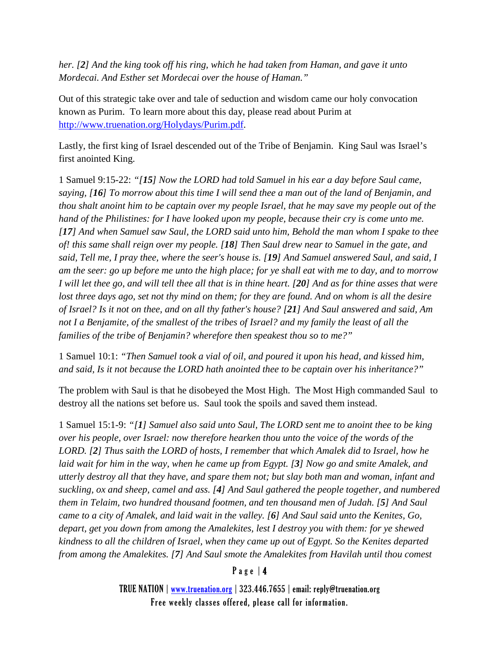*her. [2] And the king took off his ring, which he had taken from Haman, and gave it unto Mordecai. And Esther set Mordecai over the house of Haman."*

Out of this strategic take over and tale of seduction and wisdom came our holy convocation known as Purim. To learn more about this day, please read about Purim at [http://www.truenation.org/Holydays/Purim.pdf.](http://www.truenation.org/Holydays/Purim.pdf)

Lastly, the first king of Israel descended out of the Tribe of Benjamin. King Saul was Israel's first anointed King.

1 Samuel 9:15-22: *"[15] Now the LORD had told Samuel in his ear a day before Saul came, saying, [16] To morrow about this time I will send thee a man out of the land of Benjamin, and thou shalt anoint him to be captain over my people Israel, that he may save my people out of the hand of the Philistines: for I have looked upon my people, because their cry is come unto me. [17] And when Samuel saw Saul, the LORD said unto him, Behold the man whom I spake to thee of! this same shall reign over my people. [18] Then Saul drew near to Samuel in the gate, and said, Tell me, I pray thee, where the seer's house is. [19] And Samuel answered Saul, and said, I am the seer: go up before me unto the high place; for ye shall eat with me to day, and to morrow I will let thee go, and will tell thee all that is in thine heart. [20] And as for thine asses that were*  lost three days ago, set not thy mind on them; for they are found. And on whom is all the desire *of Israel? Is it not on thee, and on all thy father's house? [21] And Saul answered and said, Am not I a Benjamite, of the smallest of the tribes of Israel? and my family the least of all the families of the tribe of Benjamin? wherefore then speakest thou so to me?"*

1 Samuel 10:1: *"Then Samuel took a vial of oil, and poured it upon his head, and kissed him, and said, Is it not because the LORD hath anointed thee to be captain over his inheritance?"*

The problem with Saul is that he disobeyed the Most High. The Most High commanded Saul to destroy all the nations set before us. Saul took the spoils and saved them instead.

1 Samuel 15:1-9: *"[1] Samuel also said unto Saul, The LORD sent me to anoint thee to be king over his people, over Israel: now therefore hearken thou unto the voice of the words of the LORD. [2] Thus saith the LORD of hosts, I remember that which Amalek did to Israel, how he laid wait for him in the way, when he came up from Egypt. [3] Now go and smite Amalek, and utterly destroy all that they have, and spare them not; but slay both man and woman, infant and suckling, ox and sheep, camel and ass. [4] And Saul gathered the people together, and numbered them in Telaim, two hundred thousand footmen, and ten thousand men of Judah. [5] And Saul came to a city of Amalek, and laid wait in the valley. [6] And Saul said unto the Kenites, Go, depart, get you down from among the Amalekites, lest I destroy you with them: for ye shewed kindness to all the children of Israel, when they came up out of Egypt. So the Kenites departed from among the Amalekites. [7] And Saul smote the Amalekites from Havilah until thou comest* 

## Page | 4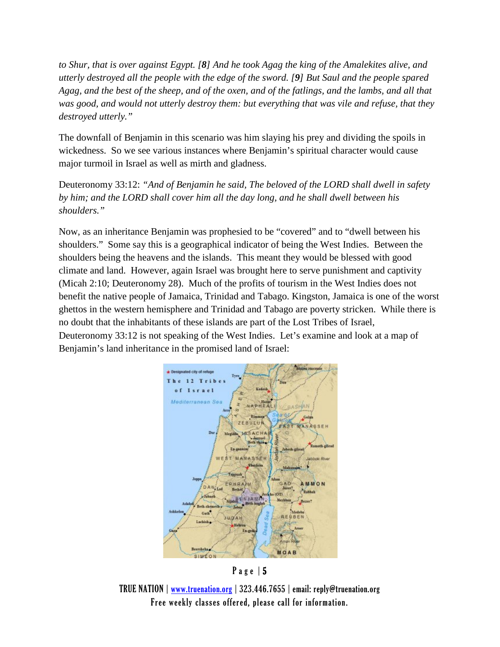*to Shur, that is over against Egypt. [8] And he took Agag the king of the Amalekites alive, and utterly destroyed all the people with the edge of the sword. [9] But Saul and the people spared Agag, and the best of the sheep, and of the oxen, and of the fatlings, and the lambs, and all that was good, and would not utterly destroy them: but everything that was vile and refuse, that they destroyed utterly."*

The downfall of Benjamin in this scenario was him slaying his prey and dividing the spoils in wickedness. So we see various instances where Benjamin's spiritual character would cause major turmoil in Israel as well as mirth and gladness.

Deuteronomy 33:12: *"And of Benjamin he said, The beloved of the LORD shall dwell in safety by him; and the LORD shall cover him all the day long, and he shall dwell between his shoulders."*

Now, as an inheritance Benjamin was prophesied to be "covered" and to "dwell between his shoulders." Some say this is a geographical indicator of being the West Indies. Between the shoulders being the heavens and the islands. This meant they would be blessed with good climate and land. However, again Israel was brought here to serve punishment and captivity (Micah 2:10; Deuteronomy 28). Much of the profits of tourism in the West Indies does not benefit the native people of Jamaica, Trinidad and Tabago. Kingston, Jamaica is one of the worst ghettos in the western hemisphere and Trinidad and Tabago are poverty stricken. While there is no doubt that the inhabitants of these islands are part of the Lost Tribes of Israel, Deuteronomy 33:12 is not speaking of the West Indies. Let's examine and look at a map of Benjamin's land inheritance in the promised land of Israel:



Page | 5

TRUE NATION | [www.truenation.org](http://www.truenation.org/) | 323.446.7655 | email: reply@truenation.org Free weekly classes offered, please call for information.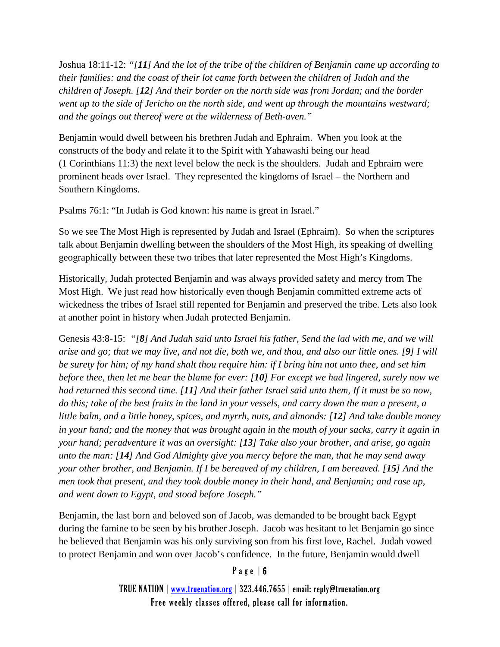Joshua 18:11-12: *"[11] And the lot of the tribe of the children of Benjamin came up according to their families: and the coast of their lot came forth between the children of Judah and the children of Joseph. [12] And their border on the north side was from Jordan; and the border went up to the side of Jericho on the north side, and went up through the mountains westward; and the goings out thereof were at the wilderness of Beth-aven."*

Benjamin would dwell between his brethren Judah and Ephraim. When you look at the constructs of the body and relate it to the Spirit with Yahawashi being our head (1 Corinthians 11:3) the next level below the neck is the shoulders. Judah and Ephraim were prominent heads over Israel. They represented the kingdoms of Israel – the Northern and Southern Kingdoms.

Psalms 76:1: "In Judah is God known: his name is great in Israel."

So we see The Most High is represented by Judah and Israel (Ephraim). So when the scriptures talk about Benjamin dwelling between the shoulders of the Most High, its speaking of dwelling geographically between these two tribes that later represented the Most High's Kingdoms.

Historically, Judah protected Benjamin and was always provided safety and mercy from The Most High. We just read how historically even though Benjamin committed extreme acts of wickedness the tribes of Israel still repented for Benjamin and preserved the tribe. Lets also look at another point in history when Judah protected Benjamin.

Genesis 43:8-15: *"[8] And Judah said unto Israel his father, Send the lad with me, and we will arise and go; that we may live, and not die, both we, and thou, and also our little ones. [9] I will be surety for him; of my hand shalt thou require him: if I bring him not unto thee, and set him before thee, then let me bear the blame for ever: [10] For except we had lingered, surely now we had returned this second time. [11] And their father Israel said unto them, If it must be so now, do this; take of the best fruits in the land in your vessels, and carry down the man a present, a little balm, and a little honey, spices, and myrrh, nuts, and almonds: [12] And take double money in your hand; and the money that was brought again in the mouth of your sacks, carry it again in your hand; peradventure it was an oversight: [13] Take also your brother, and arise, go again unto the man: [14] And God Almighty give you mercy before the man, that he may send away your other brother, and Benjamin. If I be bereaved of my children, I am bereaved. [15] And the men took that present, and they took double money in their hand, and Benjamin; and rose up, and went down to Egypt, and stood before Joseph."*

Benjamin, the last born and beloved son of Jacob, was demanded to be brought back Egypt during the famine to be seen by his brother Joseph. Jacob was hesitant to let Benjamin go since he believed that Benjamin was his only surviving son from his first love, Rachel. Judah vowed to protect Benjamin and won over Jacob's confidence. In the future, Benjamin would dwell

# Page | 6